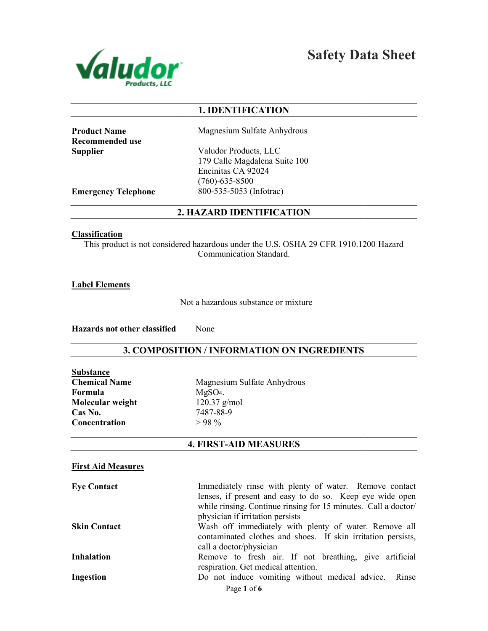

Safety Data Sheet

# 1. IDENTIFICATION

Product Name Recommended use **Supplier** 

Magnesium Sulfate Anhydrous

Valudor Products, LLC 179 Calle Magdalena Suite 100 Encinitas CA 92024 (760)-635-8500 800-535-5053 (Infotrac)

Emergency Telephone

## 2. HAZARD IDENTIFICATION

#### **Classification**

This product is not considered hazardous under the U.S. OSHA 29 CFR 1910.1200 Hazard<br>Communication Standard.

Label Elements

Not a hazardous substance or mixture

Hazards not other classified None

# 3. COMPOSITION / INFORMATION ON INGREDIENTS

| Substance            |
|----------------------|
| <b>Chemical Name</b> |
| Formula              |
| Molecular weight     |
| Cas No.              |
| Concentration        |

Magnesium Sulfate Anhydrous MgSO4. 120.37 g/mol 7487-88-9  $> 98\%$ 

## 4. FIRST-AID MEASURES

## First Aid Measures

| <b>Eye Contact</b>  | Immediately rinse with plenty of water. Remove contact         |
|---------------------|----------------------------------------------------------------|
|                     | lenses, if present and easy to do so. Keep eye wide open       |
|                     | while rinsing. Continue rinsing for 15 minutes. Call a doctor/ |
|                     | physician if irritation persists                               |
| <b>Skin Contact</b> | Wash off immediately with plenty of water. Remove all          |
|                     | contaminated clothes and shoes. If skin irritation persists,   |
|                     | call a doctor/physician                                        |
| <b>Inhalation</b>   | Remove to fresh air. If not breathing, give artificial         |
|                     | respiration. Get medical attention.                            |
| Ingestion           | Do not induce vomiting without medical advice. Rinse           |
|                     | Page 1 of 6                                                    |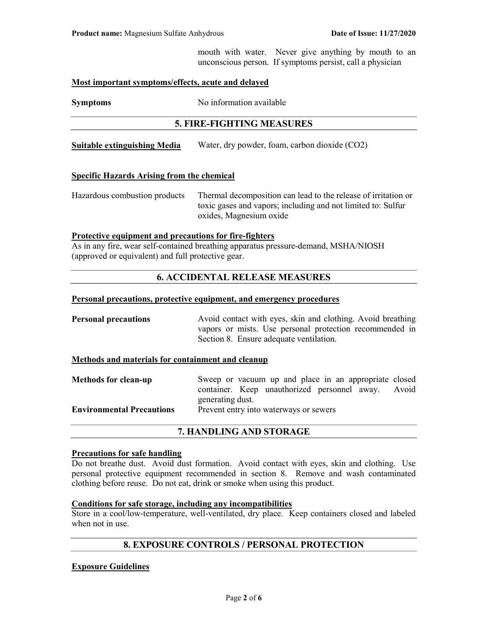mouth with water. Never give anything by mouth to an unconscious person. If symptoms persist, call a physician

### Most important symptoms/effects, acute and delayed

Symptoms No information available

## 5. FIRE-FIGHTING MEASURES

Suitable extinguishing Media Water, dry powder, foam, carbon dioxide (CO2)

## Specific Hazards Arising from the chemical

Hazardous combustion products Thermal decomposition can lead to the release of irritation or toxic gases and vapors; including and not limited to: Sulfur oxides, Magnesium oxide

### Protective equipment and precautions for fire-fighters

As in any fire, wear self-contained breathing apparatus pressure-demand, MSHA/NIOSH (approved or equivalent) and full protective gear.

## 6. ACCIDENTAL RELEASE MEASURES

#### Personal precautions, protective equipment, and emergency procedures

**Personal precautions** Avoid contact with eyes, skin and clothing. Avoid breathing vapors or mists. Use personal protection recommended in Section 8. Ensure adequate ventilation.

### Methods and materials for containment and cleanup

| <b>Methods for clean-up</b>      | Sweep or vacuum up and place in an appropriate closed |  |
|----------------------------------|-------------------------------------------------------|--|
|                                  | container. Keep unauthorized personnel away. Avoid    |  |
|                                  | generating dust.                                      |  |
| <b>Environmental Precautions</b> | Prevent entry into waterways or sewers                |  |
|                                  |                                                       |  |

### 7. HANDLING AND STORAGE

#### Precautions for safe handling

Do not breathe dust. Avoid dust formation. Avoid contact with eyes, skin and clothing. Use personal protective equipment recommended in section 8. Remove and wash contaminated clothing before reuse. Do not eat, drink or smoke when using this product.

### Conditions for safe storage, including any incompatibilities

Store in a cool/low-temperature, well-ventilated, dry place. Keep containers closed and labeled when not in use.

## 8. EXPOSURE CONTROLS / PERSONAL PROTECTION

### Exposure Guidelines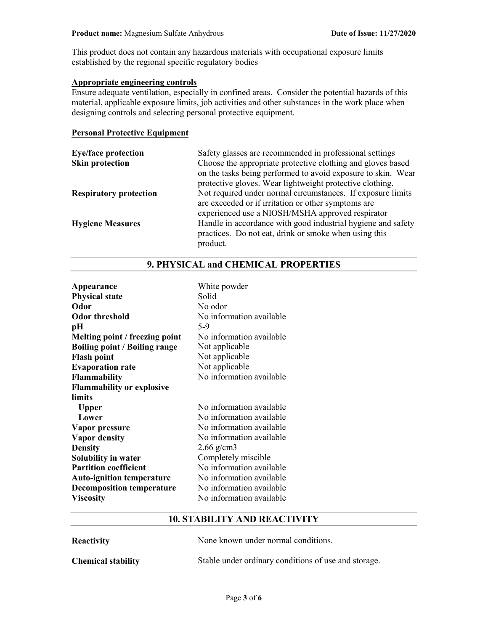This product does not contain any hazardous materials with occupational exposure limits established by the regional specific regulatory bodies

# Appropriate engineering controls

Ensure adequate ventilation, especially in confined areas. Consider the potential hazards of this material, applicable exposure limits, job activities and other substances in the work place when designing controls and selecting personal protective equipment.

### Personal Protective Equipment

| <b>Eye/face protection</b>    | Safety glasses are recommended in professional settings      |
|-------------------------------|--------------------------------------------------------------|
| <b>Skin protection</b>        | Choose the appropriate protective clothing and gloves based  |
|                               | on the tasks being performed to avoid exposure to skin. Wear |
|                               | protective gloves. Wear lightweight protective clothing.     |
| <b>Respiratory protection</b> | Not required under normal circumstances. If exposure limits  |
|                               | are exceeded or if irritation or other symptoms are          |
|                               | experienced use a NIOSH/MSHA approved respirator             |
| <b>Hygiene Measures</b>       | Handle in accordance with good industrial hygiene and safety |
|                               | practices. Do not eat, drink or smoke when using this        |
|                               | product.                                                     |

| Appearance                           | White powder             |
|--------------------------------------|--------------------------|
| <b>Physical state</b>                | Solid                    |
| Odor                                 | No odor                  |
| <b>Odor threshold</b>                | No information available |
| pН                                   | 5-9                      |
| Melting point / freezing point       | No information available |
| <b>Boiling point / Boiling range</b> | Not applicable           |
| <b>Flash point</b>                   | Not applicable           |
| <b>Evaporation rate</b>              | Not applicable           |
| <b>Flammability</b>                  | No information available |
| <b>Flammability or explosive</b>     |                          |
| limits                               |                          |
| <b>Upper</b>                         | No information available |
| Lower                                | No information available |
| Vapor pressure                       | No information available |
| <b>Vapor density</b>                 | No information available |
| <b>Density</b>                       | $2.66$ g/cm3             |
| Solubility in water                  | Completely miscible      |
| <b>Partition coefficient</b>         | No information available |
| <b>Auto-ignition temperature</b>     | No information available |
| <b>Decomposition temperature</b>     | No information available |
| <b>Viscosity</b>                     | No information available |

# 9. PHYSICAL and CHEMICAL PROPERTIES

# 10. STABILITY AND REACTIVITY

| Reactivity                | None known under normal conditions.                  |
|---------------------------|------------------------------------------------------|
| <b>Chemical stability</b> | Stable under ordinary conditions of use and storage. |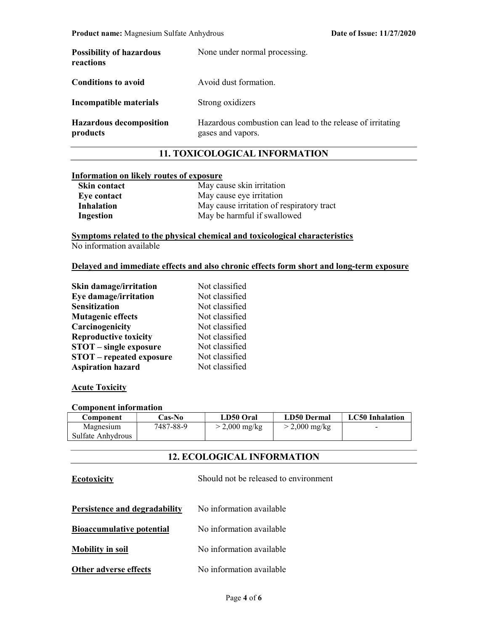| <b>Possibility of hazardous</b><br>reactions | None under normal processing.                                                   |
|----------------------------------------------|---------------------------------------------------------------------------------|
| <b>Conditions to avoid</b>                   | Avoid dust formation.                                                           |
| Incompatible materials                       | Strong oxidizers                                                                |
| <b>Hazardous decomposition</b><br>products   | Hazardous combustion can lead to the release of irritating<br>gases and vapors. |

## 11. TOXICOLOGICAL INFORMATION

## Information on likely routes of exposure

| Skin contact | May cause skin irritation                 |
|--------------|-------------------------------------------|
| Eye contact  | May cause eye irritation                  |
| Inhalation   | May cause irritation of respiratory tract |
| Ingestion    | May be harmful if swallowed               |

Symptoms related to the physical chemical and toxicological characteristics No information available

### Delayed and immediate effects and also chronic effects form short and long-term exposure

| <b>Skin damage/irritation</b>   | Not classified |
|---------------------------------|----------------|
| Eye damage/irritation           | Not classified |
| <b>Sensitization</b>            | Not classified |
| <b>Mutagenic effects</b>        | Not classified |
| Carcinogenicity                 | Not classified |
| <b>Reproductive toxicity</b>    | Not classified |
| <b>STOT</b> – single exposure   | Not classified |
| <b>STOT</b> – repeated exposure | Not classified |
| <b>Aspiration hazard</b>        | Not classified |

### **Acute Toxicity**

## Component information

| Component         | <b>Cas-No</b> | LD50 Oral       | <b>LD50 Dermal</b>      | <b>LC50</b> Inhalation |
|-------------------|---------------|-----------------|-------------------------|------------------------|
| Magnesium         | 7487-88-9     | $>$ 2,000 mg/kg | $> 2,000 \text{ mg/kg}$ | -                      |
| Sulfate Anhydrous |               |                 |                         |                        |

# 12. ECOLOGICAL INFORMATION

| <b>Ecotoxicity</b>               | Should not be released to environment |
|----------------------------------|---------------------------------------|
| Persistence and degradability    | No information available              |
| <b>Bioaccumulative potential</b> | No information available              |
| <b>Mobility in soil</b>          | No information available              |
| Other adverse effects            | No information available              |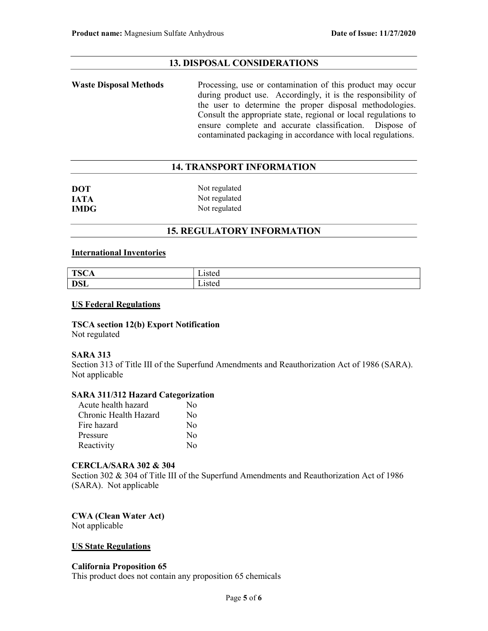# 13. DISPOSAL CONSIDERATIONS

Waste Disposal Methods Processing, use or contamination of this product may occur during product use. Accordingly, it is the responsibility of the user to determine the proper disposal methodologies. Consult the appropriate state, regional or local regulations to ensure complete and accurate classification. Dispose of contaminated packaging in accordance with local regulations.

# 14. TRANSPORT INFORMATION

| <b>DOT</b>  | Not regulated |
|-------------|---------------|
| <b>JATA</b> | Not regulated |
| <b>IMDG</b> | Not regulated |

## 15. REGULATORY INFORMATION

### International Inventories

| T <sub>0</sub>    | $\cdot$ $\cdot$ $\cdot$ $\cdot$ $\cdot$ $\cdot$ |
|-------------------|-------------------------------------------------|
| יי                | asicu                                           |
| 10011             | -----                                           |
| Det<br><b>DOL</b> | $10+$<br>45 icu<br>--- - - -                    |

### US Federal Regulations

TSCA section 12(b) Export Notification Not regulated

### SARA 313

Section 313 of Title III of the Superfund Amendments and Reauthorization Act of 1986 (SARA). Not applicable

### SARA 311/312 Hazard Categorization

| Acute health hazard   | Nο               |
|-----------------------|------------------|
| Chronic Health Hazard | $\rm No$         |
| Fire hazard           | $\rm N_{0}$      |
| Pressure              | $\rm No$         |
| Reactivity            | $\rm N_{\Omega}$ |

## CERCLA/SARA 302 & 304

Section 302 & 304 of Title III of the Superfund Amendments and Reauthorization Act of 1986 (SARA). Not applicable

CWA (Clean Water Act) Not applicable

### US State Regulations

### California Proposition 65

This product does not contain any proposition 65 chemicals